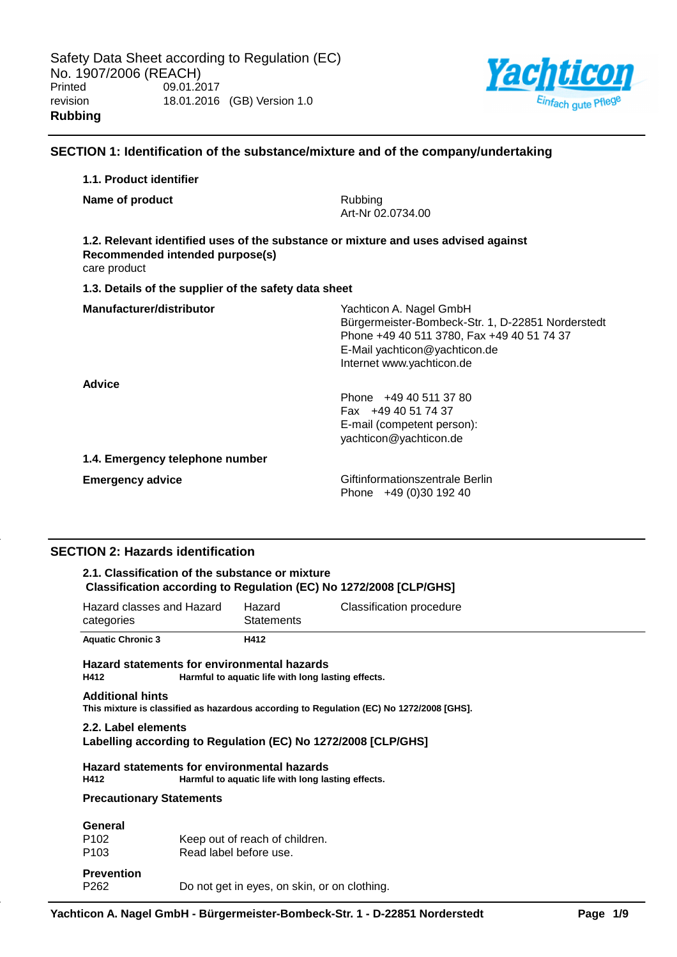

## **SECTION 1: Identification of the substance/mixture and of the company/undertaking**

| 1.1. Product identifier                                                                                                               |                                                                                                                                                                                          |
|---------------------------------------------------------------------------------------------------------------------------------------|------------------------------------------------------------------------------------------------------------------------------------------------------------------------------------------|
| Name of product                                                                                                                       | Rubbing<br>Art-Nr 02.0734.00                                                                                                                                                             |
| 1.2. Relevant identified uses of the substance or mixture and uses advised against<br>Recommended intended purpose(s)<br>care product |                                                                                                                                                                                          |
| 1.3. Details of the supplier of the safety data sheet                                                                                 |                                                                                                                                                                                          |
| Manufacturer/distributor                                                                                                              | Yachticon A. Nagel GmbH<br>Bürgermeister-Bombeck-Str. 1, D-22851 Norderstedt<br>Phone +49 40 511 3780, Fax +49 40 51 74 37<br>E-Mail yachticon@yachticon.de<br>Internet www.yachticon.de |
| Advice                                                                                                                                | Phone +49 40 511 37 80<br>Fax +49 40 51 74 37<br>E-mail (competent person):<br>yachticon@yachticon.de                                                                                    |
| 1.4. Emergency telephone number                                                                                                       |                                                                                                                                                                                          |
| <b>Emergency advice</b>                                                                                                               | Giftinformationszentrale Berlin<br>Phone $+49(0)3019240$                                                                                                                                 |

## **SECTION 2: Hazards identification**

## **2.1. Classification of the substance or mixture Classification according to Regulation (EC) No 1272/2008 [CLP/GHS]**

| Hazard classes and Hazard<br>categories | Hazard<br><b>Statements</b> | Classification procedure |
|-----------------------------------------|-----------------------------|--------------------------|
| <b>Aquatic Chronic 3</b>                | H412                        |                          |

# **Hazard statements for environmental hazards** Harmful to aquatic life with long lasting effects.

# **Additional hints**

**This mixture is classified as hazardous according to Regulation (EC) No 1272/2008 [GHS].**

#### **2.2. Label elements Labelling according to Regulation (EC) No 1272/2008 [CLP/GHS]**

#### **Hazard statements for environmental hazards** Harmful to aquatic life with long lasting effects.

## **Precautionary Statements**

| General           |                                              |
|-------------------|----------------------------------------------|
| P <sub>102</sub>  | Keep out of reach of children.               |
| P <sub>103</sub>  | Read label before use.                       |
| <b>Prevention</b> |                                              |
| P262              | Do not get in eyes, on skin, or on clothing. |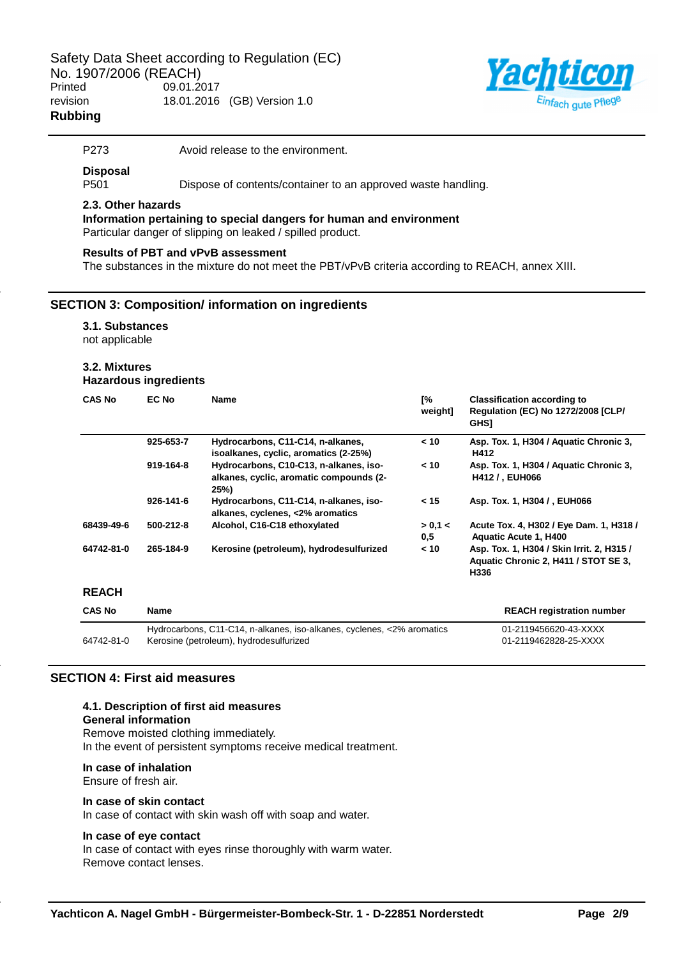

P273 Avoid release to the environment.

## **Disposal**

P501 Dispose of contents/container to an approved waste handling.

## **2.3. Other hazards**

**Information pertaining to special dangers for human and environment** Particular danger of slipping on leaked / spilled product.

#### **Results of PBT and vPvB assessment**

The substances in the mixture do not meet the PBT/vPvB criteria according to REACH, annex XIII.

## **SECTION 3: Composition/ information on ingredients**

#### **3.1. Substances**

not applicable

# **3.2. Mixtures**

**Hazardous ingredients**

| <b>CAS No</b> | EC No     | <b>Name</b>                                                                                                       | [%<br>weight]  | <b>Classification according to</b><br><b>Regulation (EC) No 1272/2008 [CLP/</b><br><b>GHS1</b> |
|---------------|-----------|-------------------------------------------------------------------------------------------------------------------|----------------|------------------------------------------------------------------------------------------------|
|               | 925-653-7 | Hydrocarbons, C11-C14, n-alkanes,<br>isoalkanes, cyclic, aromatics (2-25%)                                        | < 10           | Asp. Tox. 1, H304 / Aquatic Chronic 3,<br>H412                                                 |
|               | 919-164-8 | Hydrocarbons, C10-C13, n-alkanes, iso-<br>alkanes, cyclic, aromatic compounds (2-<br>25%)                         | < 10           | Asp. Tox. 1, H304 / Aquatic Chronic 3,<br>H412 / , EUH066                                      |
|               | 926-141-6 | Hydrocarbons, C11-C14, n-alkanes, iso-<br>alkanes, cyclenes, <2% aromatics                                        | < 15           | Asp. Tox. 1, H304 /, EUH066                                                                    |
| 68439-49-6    | 500-212-8 | Alcohol, C16-C18 ethoxylated                                                                                      | > 0,1 <<br>0.5 | Acute Tox. 4, H302 / Eye Dam. 1, H318 /<br>Aquatic Acute 1, H400                               |
| 64742-81-0    | 265-184-9 | Kerosine (petroleum), hydrodesulfurized                                                                           | < 10           | Asp. Tox. 1, H304 / Skin Irrit. 2, H315 /<br>Aquatic Chronic 2, H411 / STOT SE 3,<br>H336      |
| <b>REACH</b>  |           |                                                                                                                   |                |                                                                                                |
| <b>CAS No</b> | Name      |                                                                                                                   |                | <b>REACH registration number</b>                                                               |
| 64742-81-0    |           | Hydrocarbons, C11-C14, n-alkanes, iso-alkanes, cyclenes, <2% aromatics<br>Kerosine (petroleum), hydrodesulfurized |                | 01-2119456620-43-XXXX<br>01-2119462828-25-XXXX                                                 |

## **SECTION 4: First aid measures**

## **4.1. Description of first aid measures General information** Remove moisted clothing immediately. In the event of persistent symptoms receive medical treatment.

## **In case of inhalation**

Ensure of fresh air.

## **In case of skin contact**

In case of contact with skin wash off with soap and water.

#### **In case of eye contact**

In case of contact with eyes rinse thoroughly with warm water. Remove contact lenses.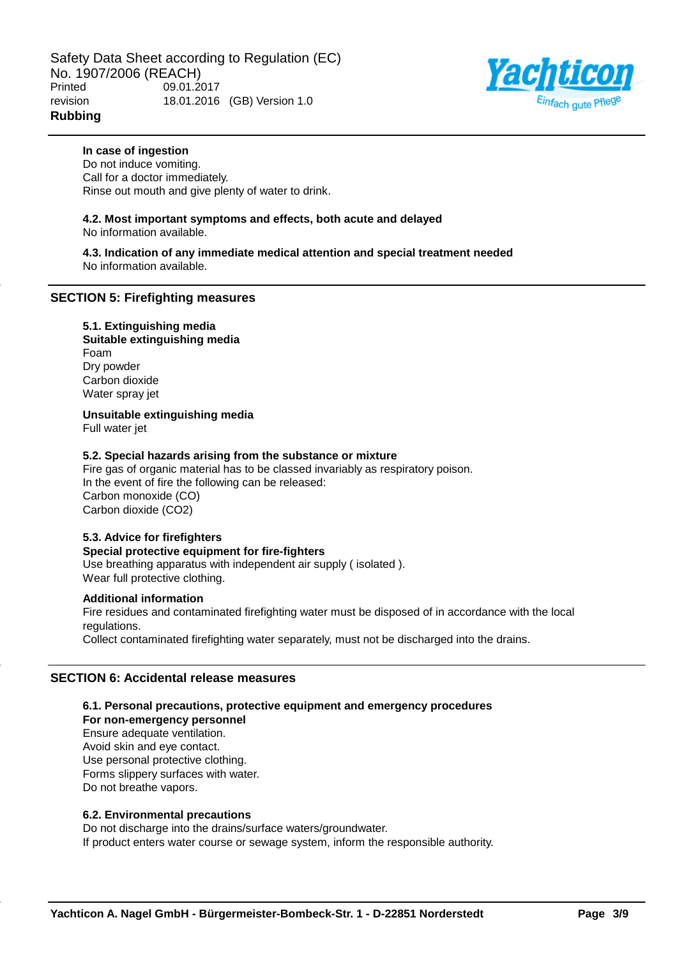

## **In case of ingestion**

Do not induce vomiting. Call for a doctor immediately. Rinse out mouth and give plenty of water to drink.

# **4.2. Most important symptoms and effects, both acute and delayed**

No information available.

**4.3. Indication of any immediate medical attention and special treatment needed** No information available.

## **SECTION 5: Firefighting measures**

## **5.1. Extinguishing media**

**Suitable extinguishing media** Foam Dry powder Carbon dioxide Water spray jet

**Unsuitable extinguishing media**

Full water jet

## **5.2. Special hazards arising from the substance or mixture**

Fire gas of organic material has to be classed invariably as respiratory poison. In the event of fire the following can be released: Carbon monoxide (CO) Carbon dioxide (CO2)

## **5.3. Advice for firefighters**

**Special protective equipment for fire-fighters** Use breathing apparatus with independent air supply ( isolated ). Wear full protective clothing.

## **Additional information**

Fire residues and contaminated firefighting water must be disposed of in accordance with the local regulations. Collect contaminated firefighting water separately, must not be discharged into the drains.

## **SECTION 6: Accidental release measures**

#### **6.1. Personal precautions, protective equipment and emergency procedures For non-emergency personnel**

Ensure adequate ventilation. Avoid skin and eye contact. Use personal protective clothing. Forms slippery surfaces with water. Do not breathe vapors.

## **6.2. Environmental precautions**

Do not discharge into the drains/surface waters/groundwater. If product enters water course or sewage system, inform the responsible authority.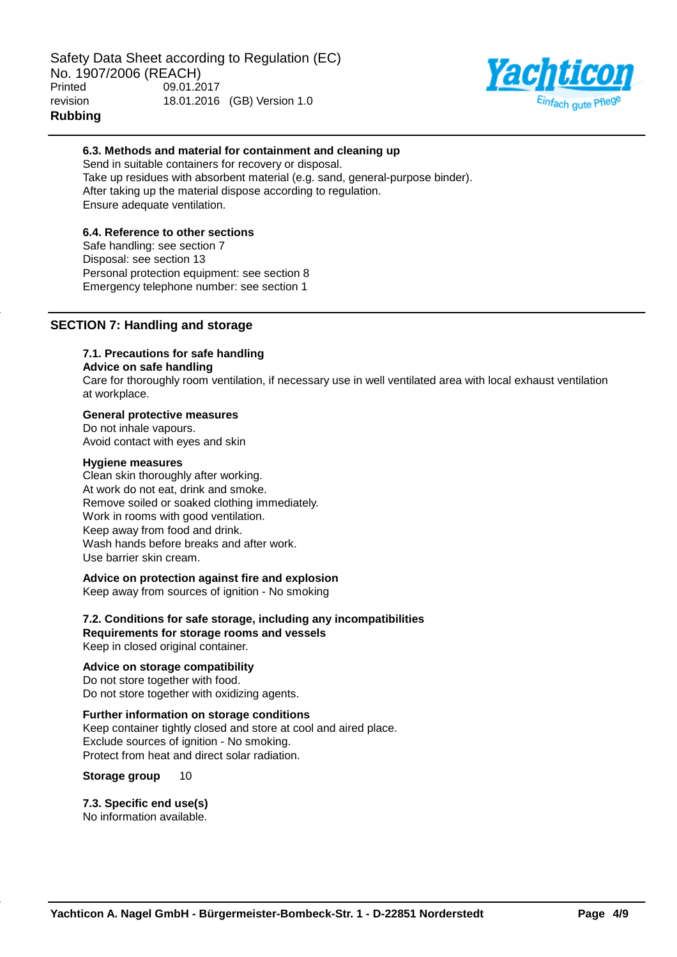

## **6.3. Methods and material for containment and cleaning up**

Send in suitable containers for recovery or disposal. Take up residues with absorbent material (e.g. sand, general-purpose binder). After taking up the material dispose according to regulation. Ensure adequate ventilation.

## **6.4. Reference to other sections**

Safe handling: see section 7 Disposal: see section 13 Personal protection equipment: see section 8 Emergency telephone number: see section 1

## **SECTION 7: Handling and storage**

# **7.1. Precautions for safe handling**

#### **Advice on safe handling**

Care for thoroughly room ventilation, if necessary use in well ventilated area with local exhaust ventilation at workplace.

## **General protective measures**

Do not inhale vapours. Avoid contact with eyes and skin

#### **Hygiene measures**

Clean skin thoroughly after working. At work do not eat, drink and smoke. Remove soiled or soaked clothing immediately. Work in rooms with good ventilation. Keep away from food and drink. Wash hands before breaks and after work. Use barrier skin cream.

# **Advice on protection against fire and explosion**

Keep away from sources of ignition - No smoking

### **7.2. Conditions for safe storage, including any incompatibilities Requirements for storage rooms and vessels** Keep in closed original container.

## **Advice on storage compatibility**

Do not store together with food. Do not store together with oxidizing agents.

# **Further information on storage conditions**

Keep container tightly closed and store at cool and aired place. Exclude sources of ignition - No smoking. Protect from heat and direct solar radiation.

**Storage group** 10

## **7.3. Specific end use(s)**

No information available.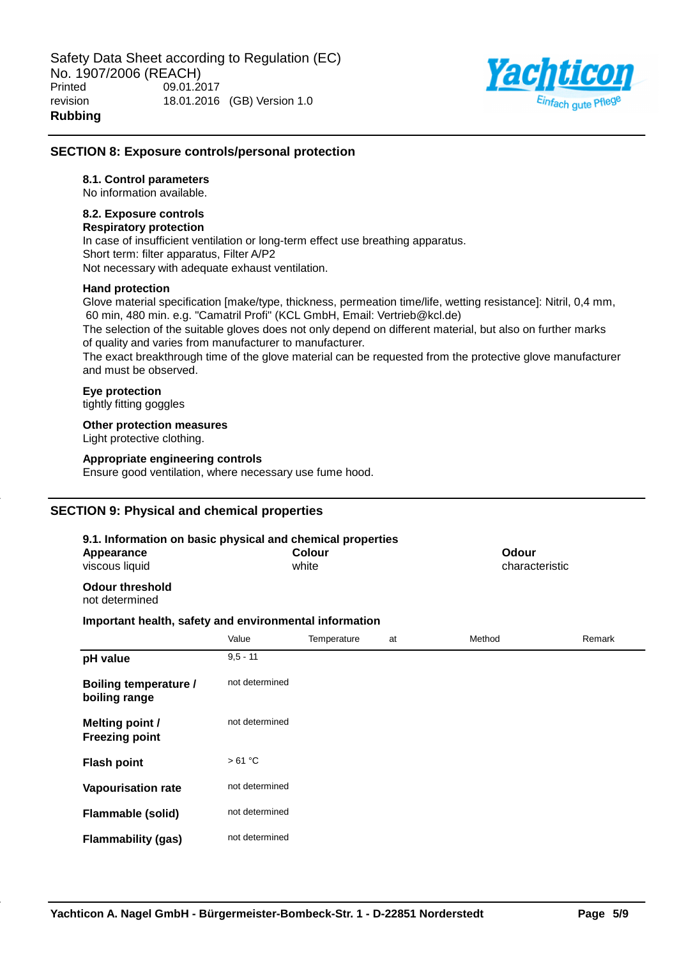

## **SECTION 8: Exposure controls/personal protection**

## **8.1. Control parameters**

No information available.

## **8.2. Exposure controls**

## **Respiratory protection**

In case of insufficient ventilation or long-term effect use breathing apparatus. Short term: filter apparatus, Filter A/P2 Not necessary with adequate exhaust ventilation.

## **Hand protection**

Glove material specification [make/type, thickness, permeation time/life, wetting resistance]: Nitril, 0,4 mm, 60 min, 480 min. e.g. "Camatril Profi" (KCL GmbH, Email: Vertrieb@kcl.de)

The selection of the suitable gloves does not only depend on different material, but also on further marks of quality and varies from manufacturer to manufacturer.

The exact breakthrough time of the glove material can be requested from the protective glove manufacturer and must be observed.

## **Eye protection**

tightly fitting goggles

## **Other protection measures**

Light protective clothing.

## **Appropriate engineering controls**

Ensure good ventilation, where necessary use fume hood.

# **SECTION 9: Physical and chemical properties**

| 9.1. Information on basic physical and chemical properties<br><b>Colour</b><br>Appearance<br>white<br>viscous liquid |                |             | Odour<br>characteristic |        |        |
|----------------------------------------------------------------------------------------------------------------------|----------------|-------------|-------------------------|--------|--------|
| <b>Odour threshold</b><br>not determined                                                                             |                |             |                         |        |        |
| Important health, safety and environmental information                                                               |                |             |                         |        |        |
|                                                                                                                      | Value          | Temperature | at                      | Method | Remark |
| pH value                                                                                                             | $9,5 - 11$     |             |                         |        |        |
| <b>Boiling temperature /</b><br>boiling range                                                                        | not determined |             |                         |        |        |
| <b>Melting point /</b><br><b>Freezing point</b>                                                                      | not determined |             |                         |        |        |
| <b>Flash point</b>                                                                                                   | >61 °C         |             |                         |        |        |
| <b>Vapourisation rate</b>                                                                                            | not determined |             |                         |        |        |
| <b>Flammable (solid)</b>                                                                                             | not determined |             |                         |        |        |
| <b>Flammability (gas)</b>                                                                                            | not determined |             |                         |        |        |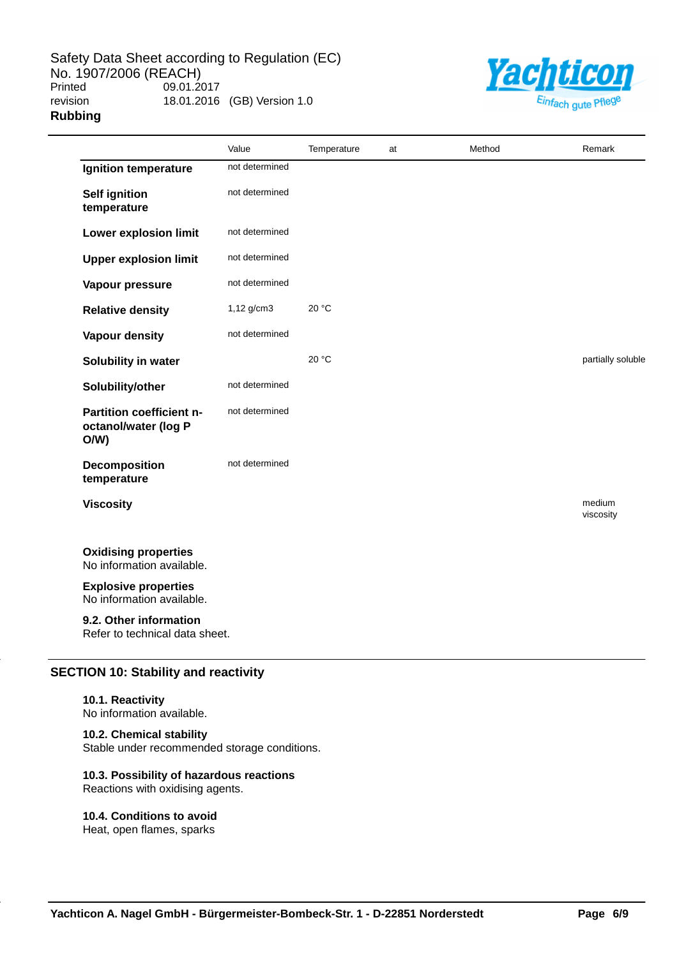

|                                                          | Value          | Temperature | at | Method | Remark              |
|----------------------------------------------------------|----------------|-------------|----|--------|---------------------|
| Ignition temperature                                     | not determined |             |    |        |                     |
| <b>Self ignition</b><br>temperature                      | not determined |             |    |        |                     |
| Lower explosion limit                                    | not determined |             |    |        |                     |
| <b>Upper explosion limit</b>                             | not determined |             |    |        |                     |
| Vapour pressure                                          | not determined |             |    |        |                     |
| <b>Relative density</b>                                  | $1,12$ g/cm3   | 20 °C       |    |        |                     |
| <b>Vapour density</b>                                    | not determined |             |    |        |                     |
| Solubility in water                                      |                | 20 °C       |    |        | partially soluble   |
| Solubility/other                                         | not determined |             |    |        |                     |
| Partition coefficient n-<br>octanol/water (log P<br>O/W  | not determined |             |    |        |                     |
| <b>Decomposition</b><br>temperature                      | not determined |             |    |        |                     |
| <b>Viscosity</b>                                         |                |             |    |        | medium<br>viscosity |
| <b>Oxidising properties</b><br>No information available. |                |             |    |        |                     |
| <b>Explosive properties</b><br>No information available. |                |             |    |        |                     |
| 9.2. Other information<br>Refer to technical data sheet. |                |             |    |        |                     |

# **SECTION 10: Stability and reactivity**

#### **10.1. Reactivity**

No information available.

## **10.2. Chemical stability**

Stable under recommended storage conditions.

## **10.3. Possibility of hazardous reactions**

Reactions with oxidising agents.

## **10.4. Conditions to avoid**

Heat, open flames, sparks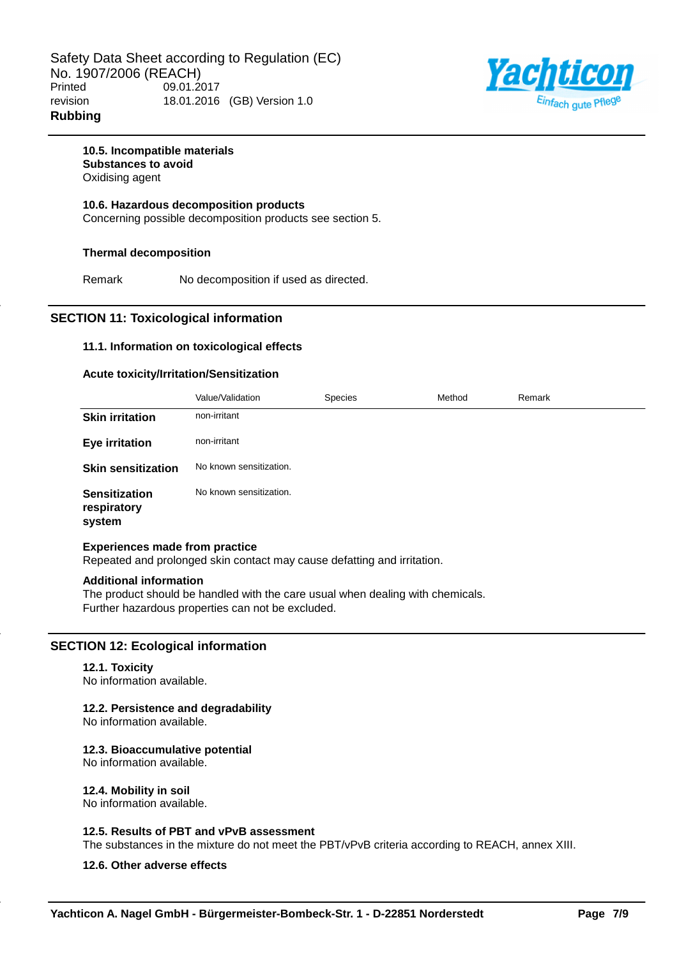

## **10.5. Incompatible materials Substances to avoid** Oxidising agent

**10.6. Hazardous decomposition products** Concerning possible decomposition products see section 5.

## **Thermal decomposition**

Remark No decomposition if used as directed.

## **SECTION 11: Toxicological information**

## **11.1. Information on toxicological effects**

## **Acute toxicity/Irritation/Sensitization**

|                                               | Value/Validation        | Species | Method | Remark |
|-----------------------------------------------|-------------------------|---------|--------|--------|
| <b>Skin irritation</b>                        | non-irritant            |         |        |        |
| Eye irritation                                | non-irritant            |         |        |        |
| <b>Skin sensitization</b>                     | No known sensitization. |         |        |        |
| <b>Sensitization</b><br>respiratory<br>system | No known sensitization. |         |        |        |

## **Experiences made from practice**

Repeated and prolonged skin contact may cause defatting and irritation.

## **Additional information**

The product should be handled with the care usual when dealing with chemicals. Further hazardous properties can not be excluded.

## **SECTION 12: Ecological information**

#### **12.1. Toxicity**

No information available.

## **12.2. Persistence and degradability**

No information available.

## **12.3. Bioaccumulative potential**

No information available.

#### **12.4. Mobility in soil**

No information available.

## **12.5. Results of PBT and vPvB assessment**

The substances in the mixture do not meet the PBT/vPvB criteria according to REACH, annex XIII.

## **12.6. Other adverse effects**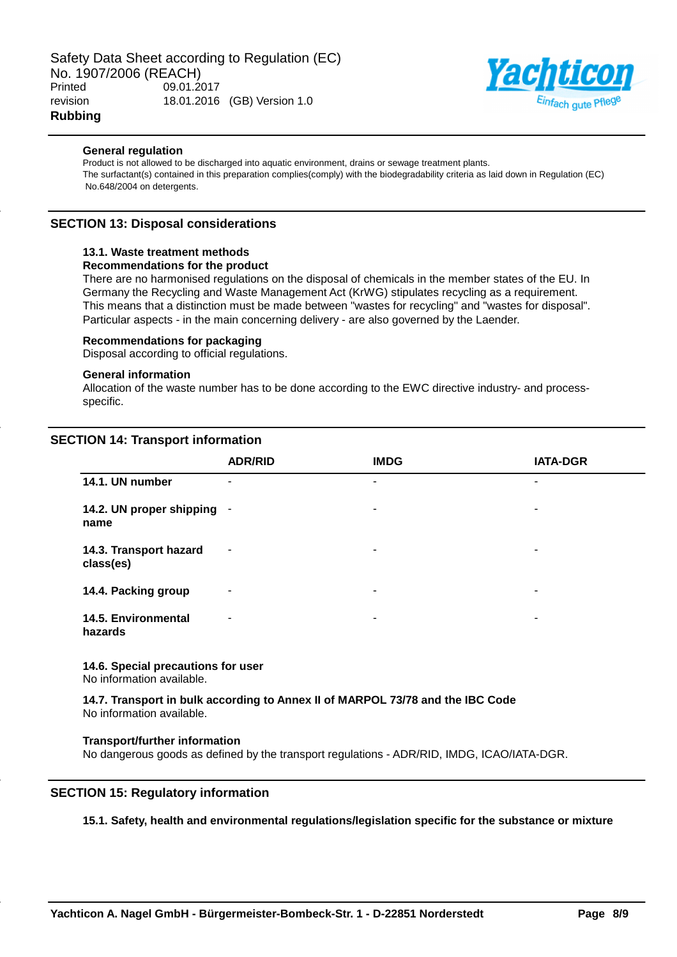

## **General regulation**

Product is not allowed to be discharged into aquatic environment, drains or sewage treatment plants. The surfactant(s) contained in this preparation complies(comply) with the biodegradability criteria as laid down in Regulation (EC) No.648/2004 on detergents.

## **SECTION 13: Disposal considerations**

## **13.1. Waste treatment methods**

## **Recommendations for the product**

There are no harmonised regulations on the disposal of chemicals in the member states of the EU. In Germany the Recycling and Waste Management Act (KrWG) stipulates recycling as a requirement. This means that a distinction must be made between "wastes for recycling" and "wastes for disposal". Particular aspects - in the main concerning delivery - are also governed by the Laender.

#### **Recommendations for packaging**

Disposal according to official regulations.

#### **General information**

Allocation of the waste number has to be done according to the EWC directive industry- and processspecific.

## **SECTION 14: Transport information**

|                                     | <b>ADR/RID</b>           | <b>IMDG</b>           | <b>IATA-DGR</b> |
|-------------------------------------|--------------------------|-----------------------|-----------------|
| 14.1. UN number                     | $\overline{\phantom{a}}$ | ٠                     | ٠               |
| 14.2. UN proper shipping<br>name    | $\overline{\phantom{a}}$ | ٠                     | ۰               |
| 14.3. Transport hazard<br>class(es) | $\overline{\phantom{a}}$ | $\tilde{\phantom{a}}$ | ٠               |
| 14.4. Packing group                 | $\overline{\phantom{a}}$ | ٠                     | ۰               |
| 14.5. Environmental<br>hazards      | ٠                        | ٠                     | ۰               |

# **14.6. Special precautions for user**

No information available.

**14.7. Transport in bulk according to Annex II of MARPOL 73/78 and the IBC Code** No information available.

## **Transport/further information**

No dangerous goods as defined by the transport regulations - ADR/RID, IMDG, ICAO/IATA-DGR.

## **SECTION 15: Regulatory information**

## **15.1. Safety, health and environmental regulations/legislation specific for the substance or mixture**